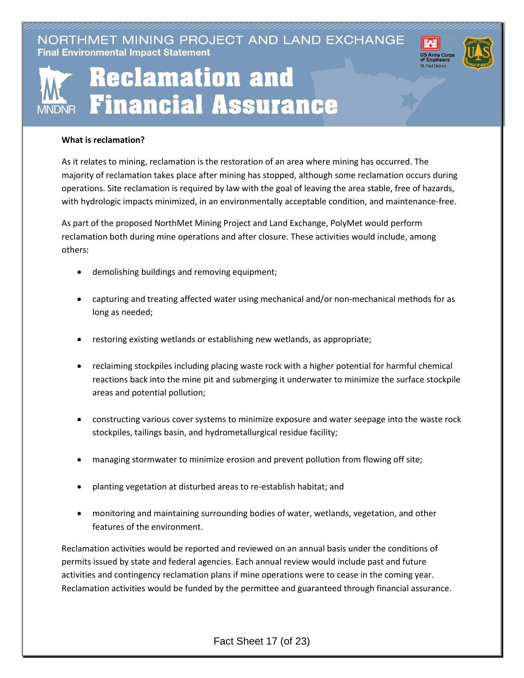NORTHMET MINING PROJECT AND LAND EXCHANGE **Final Environmental Impact Statement** 



## **Reclamation and Financial Assurance MNDNR**

## **What is reclamation?**

As it relates to mining, reclamation is the restoration of an area where mining has occurred. The majority of reclamation takes place after mining has stopped, although some reclamation occurs during operations. Site reclamation is required by law with the goal of leaving the area stable, free of hazards, with hydrologic impacts minimized, in an environmentally acceptable condition, and maintenance-free.

As part of the proposed NorthMet Mining Project and Land Exchange, PolyMet would perform reclamation both during mine operations and after closure. These activities would include, among others:

- demolishing buildings and removing equipment;
- capturing and treating affected water using mechanical and/or non-mechanical methods for as long as needed;
- restoring existing wetlands or establishing new wetlands, as appropriate;
- reclaiming stockpiles including placing waste rock with a higher potential for harmful chemical reactions back into the mine pit and submerging it underwater to minimize the surface stockpile areas and potential pollution;
- constructing various cover systems to minimize exposure and water seepage into the waste rock stockpiles, tailings basin, and hydrometallurgical residue facility;
- managing stormwater to minimize erosion and prevent pollution from flowing off site;
- planting vegetation at disturbed areas to re-establish habitat; and
- monitoring and maintaining surrounding bodies of water, wetlands, vegetation, and other features of the environment.

Reclamation activities would be reported and reviewed on an annual basis under the conditions of permits issued by state and federal agencies. Each annual review would include past and future activities and contingency reclamation plans if mine operations were to cease in the coming year. Reclamation activities would be funded by the permittee and guaranteed through financial assurance.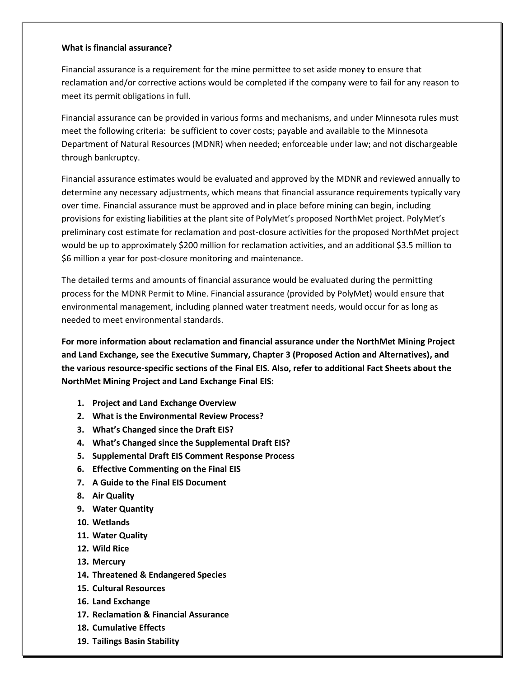## **What is financial assurance?**

Financial assurance is a requirement for the mine permittee to set aside money to ensure that reclamation and/or corrective actions would be completed if the company were to fail for any reason to meet its permit obligations in full.

Financial assurance can be provided in various forms and mechanisms, and under Minnesota rules must meet the following criteria: be sufficient to cover costs; payable and available to the Minnesota Department of Natural Resources (MDNR) when needed; enforceable under law; and not dischargeable through bankruptcy.

Financial assurance estimates would be evaluated and approved by the MDNR and reviewed annually to determine any necessary adjustments, which means that financial assurance requirements typically vary over time. Financial assurance must be approved and in place before mining can begin, including provisions for existing liabilities at the plant site of PolyMet's proposed NorthMet project. PolyMet's preliminary cost estimate for reclamation and post-closure activities for the proposed NorthMet project would be up to approximately \$200 million for reclamation activities, and an additional \$3.5 million to \$6 million a year for post-closure monitoring and maintenance.

The detailed terms and amounts of financial assurance would be evaluated during the permitting process for the MDNR Permit to Mine. Financial assurance (provided by PolyMet) would ensure that environmental management, including planned water treatment needs, would occur for as long as needed to meet environmental standards.

**For more information about reclamation and financial assurance under the NorthMet Mining Project and Land Exchange, see the Executive Summary, Chapter 3 (Proposed Action and Alternatives), and the various resource-specific sections of the Final EIS. Also, refer to additional Fact Sheets about the NorthMet Mining Project and Land Exchange Final EIS:**

- **1. Project and Land Exchange Overview**
- **2. What is the Environmental Review Process?**
- **3. What's Changed since the Draft EIS?**
- **4. What's Changed since the Supplemental Draft EIS?**
- **5. Supplemental Draft EIS Comment Response Process**
- **6. Effective Commenting on the Final EIS**
- **7. A Guide to the Final EIS Document**
- **8. Air Quality**
- **9. Water Quantity**
- **10. Wetlands**
- **11. Water Quality**
- **12. Wild Rice**
- **13. Mercury**
- **14. Threatened & Endangered Species**
- **15. Cultural Resources**
- **16. Land Exchange**
- **17. Reclamation & Financial Assurance**
- **18. Cumulative Effects**
- **19. Tailings Basin Stability**